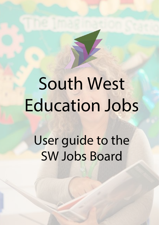# South West Education Jobs

User guide to the SW Jobs Board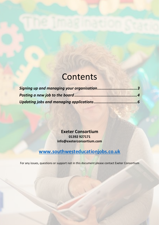## **Contents**

**Exeter Consortium 01392 927171 info@exeterconsortium.com**

#### **www.southwesteducationjobs.co.uk**

For any issues, questions or support not in this document please contact Exeter Consortium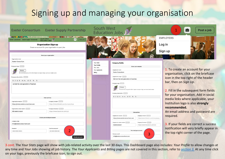#### Signing up and managing your organisation

| Exeter Consortium Exeter Supply Partnership                                                                                                                                                                                                                                                                                                                                                                                                | South West<br>Education Jobs                                                                                                                                                                                                                                                                                                                                                                                          | Ś<br>Post a job                                                                                                                                                                                                                                                                                      |
|--------------------------------------------------------------------------------------------------------------------------------------------------------------------------------------------------------------------------------------------------------------------------------------------------------------------------------------------------------------------------------------------------------------------------------------------|-----------------------------------------------------------------------------------------------------------------------------------------------------------------------------------------------------------------------------------------------------------------------------------------------------------------------------------------------------------------------------------------------------------------------|------------------------------------------------------------------------------------------------------------------------------------------------------------------------------------------------------------------------------------------------------------------------------------------------------|
| <b>BUT A TIME IMAGEMENT</b><br>South West<br>Education Jobs<br>$\blacksquare$<br>Post a job<br><b>Exeter Consortium Exeter Supply Partnership</b>                                                                                                                                                                                                                                                                                          |                                                                                                                                                                                                                                                                                                                                                                                                                       | <b>EMPLOYERS</b>                                                                                                                                                                                                                                                                                     |
| <b>Organisation Sign up</b><br>Create an account for your organisation to post jobs<br>About your organisation                                                                                                                                                                                                                                                                                                                             |                                                                                                                                                                                                                                                                                                                                                                                                                       | Log in<br>Sign up                                                                                                                                                                                                                                                                                    |
| Organisation name<br><b>Exeter Consortium</b><br>Company logo<br>Browse.<br>We recommend using a 200 x200 or higher-res square image, such as a Linkedin avatar<br>Company description <b>Company</b><br><b>BIUS Hi Hz E = % Ix</b><br>we train the next generation of teachers<br><b>External links</b><br>Organisation website<br>Company Linkedin   Concern<br>https://www.linkedin.com/company/xyz<br>https://www.exeterconsortium.com | Your Stats<br><b>Company Profile</b><br><b>Your Profile</b><br>About your compan<br>Your Jobs<br>Your Applicants<br>Organisation name<br><b>Exeter Consortium</b><br>Billing<br>Organisation slogan<br>We train the next generation of teachers<br>Company logo<br>Browse<br>.<br>Ne recommend using a 200×200 or higher-res square image, such as a Linkedin avatar.<br>Company description<br>B J U G H H H H H & L | 1. To create an account for your<br>organisation, click on the briefcase<br>icon in the top right of the header<br>bar, then on Sign Up.<br>2. Fill in the subsequent form fields<br>for your organisation. Add in social<br>media links where applicable, your<br>Institution logo is also strongly |
| Organisation twitter handle<br>Company Facebook<br>@ExeterConsort<br>https://www.facebook.com/xyz<br>Create your employer account<br>Company email<br>info@exeterconsortium.com<br>Confirm password<br>Password<br>$\overline{2}$<br><br><br>Create account                                                                                                                                                                                | <b>External links</b><br>Organisation website<br>Company Linkedin<br>https://www.exeterconsortium.com<br>Organisation twitter handle<br>Company Facebook<br><b>ExeterConsort</b><br>Your employer account<br>Company email<br>info@exeterconsortium.com                                                                                                                                                               | recommended.<br>An email address and password are<br>required.<br>https://www.linkedin.com/company/xy<br>3. If your fields are correct a success<br>https://www.facebook.com/xyz<br>notification will very briefly appear in<br>the top right corner of the page.<br>3                               |

3 *cont.* The *Your Stats* page will show with job-related activity over the last 30 days. This Dashboard page also includes: *Your Profile* to allow changes at any time and *Your Jobs* showing all job history. The *Your Applicants* and *Billing* pages are not covered in this section, refer to *section 3.* At any time click on your logo, previously the briefcase icon, to sign out.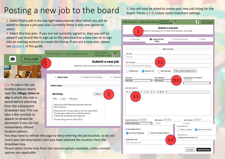## Posting a new job to the board

1. Select *Post a job* in the top right menu banner after which you will be asked to choose a job post plan. Currently there is only one option to select.

2. Select this free plan. If you are not currently signed in, then you will be asked if you would like to sign up to the jobs board as a new user or to sign into an existing account to create the listing. If you are a new user, please see *section 1* of this guide.



take a few seconds to appear so please be persistent if you are not immediately offered location options.

You may need to refresh the page to retry entering the job location, so do not insert your job description until you have selected the location from the dropdown box.

Consortium during job post approval The site will go live on 09/01/2021.

Please select *Onsite only* from the remote options available, unless remote options are applicable.

3. You will now be asked to create your new job listing for the board. Points *3.1-3.3* cover some important settings.

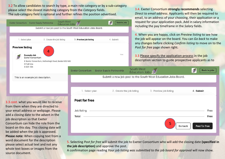3.2 To allow candidates to search by type, a main role category or by a sub-category please select the closest matching category from the *Category* fields. The sub-category field is optional and further refines the position advertised.



from them when they are directed to your email address or webpage. Please add a closing date to the advert in the job description so that Exeter Consortium can hide the role from the board on this day. This closing date will be added when the job is approved. **Please note:** When copying text from a word document for the description please select actual text and not any whole text boxes or images from the source document.



5. Selecting *Post for free* will submit the job to Exeter Consortium who will add the closing date **(specified in the job description)** and approve the post.

A confirmation page reading *Your job listing was submitted to the job board for approval* will now show*.*

3.4. Exeter Consortium **strongly recommends** selecting *Direct to email address*. Applicants will then be required to email, to an address of your choosing, their application or a request for your application pack. Add in salary information including the pay timeframe in the *Salary* fields.

4. When you are happy, click on *Preview listing* to see how the job will appear on the board. You can *Go back* to make any changes before clicking *Confirm listing* to move on to the *Post for free* page shown right.

**Back to jobs** 

3.3 Please specify the application process in the job description section to guide prospective applicants as to